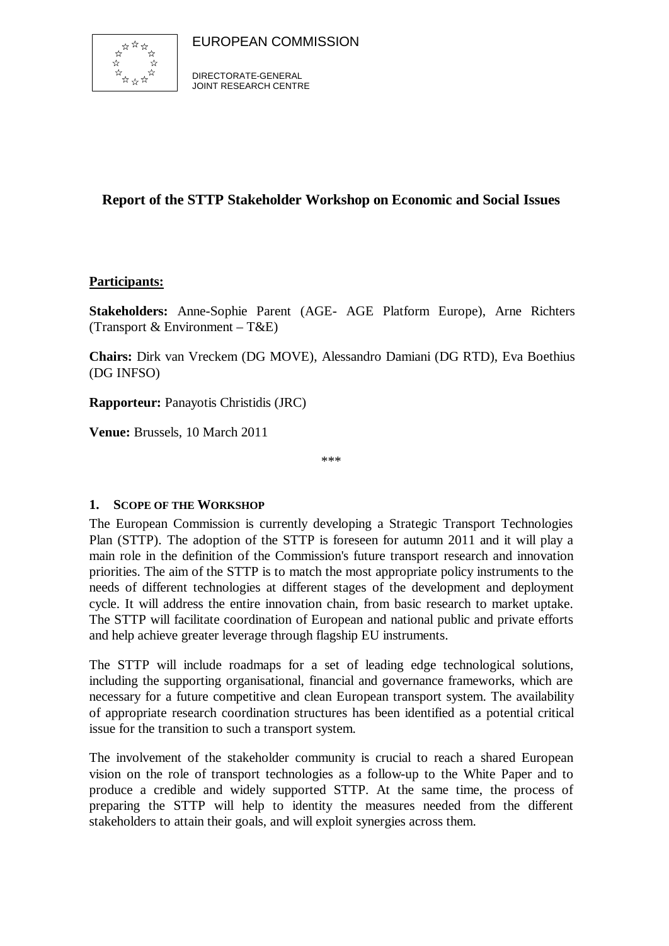



### **Report of the STTP Stakeholder Workshop on Economic and Social Issues**

#### **Participants:**

**Stakeholders:** Anne-Sophie Parent (AGE- AGE Platform Europe), Arne Richters (Transport  $& Environment - T&E$ )

**Chairs:** Dirk van Vreckem (DG MOVE), Alessandro Damiani (DG RTD), Eva Boethius (DG INFSO)

**Rapporteur:** Panayotis Christidis (JRC)

**Venue:** Brussels, 10 March 2011

\*\*\*

#### **1. SCOPE OF THE WORKSHOP**

The European Commission is currently developing a Strategic Transport Technologies Plan (STTP). The adoption of the STTP is foreseen for autumn 2011 and it will play a main role in the definition of the Commission's future transport research and innovation priorities. The aim of the STTP is to match the most appropriate policy instruments to the needs of different technologies at different stages of the development and deployment cycle. It will address the entire innovation chain, from basic research to market uptake. The STTP will facilitate coordination of European and national public and private efforts and help achieve greater leverage through flagship EU instruments.

The STTP will include roadmaps for a set of leading edge technological solutions, including the supporting organisational, financial and governance frameworks, which are necessary for a future competitive and clean European transport system. The availability of appropriate research coordination structures has been identified as a potential critical issue for the transition to such a transport system.

The involvement of the stakeholder community is crucial to reach a shared European vision on the role of transport technologies as a follow-up to the White Paper and to produce a credible and widely supported STTP. At the same time, the process of preparing the STTP will help to identity the measures needed from the different stakeholders to attain their goals, and will exploit synergies across them.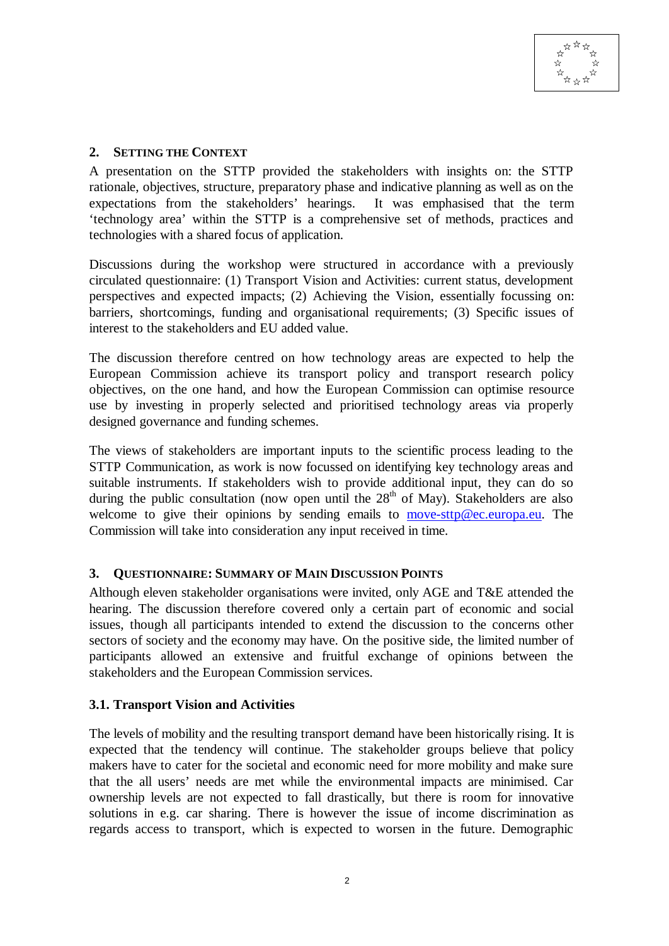#### **2. SETTING THE CONTEXT**

A presentation on the STTP provided the stakeholders with insights on: the STTP rationale, objectives, structure, preparatory phase and indicative planning as well as on the expectations from the stakeholders' hearings. It was emphasised that the term 'technology area' within the STTP is a comprehensive set of methods, practices and technologies with a shared focus of application.

Discussions during the workshop were structured in accordance with a previously circulated questionnaire: (1) Transport Vision and Activities: current status, development perspectives and expected impacts; (2) Achieving the Vision, essentially focussing on: barriers, shortcomings, funding and organisational requirements; (3) Specific issues of interest to the stakeholders and EU added value.

The discussion therefore centred on how technology areas are expected to help the European Commission achieve its transport policy and transport research policy objectives, on the one hand, and how the European Commission can optimise resource use by investing in properly selected and prioritised technology areas via properly designed governance and funding schemes.

The views of stakeholders are important inputs to the scientific process leading to the STTP Communication, as work is now focussed on identifying key technology areas and suitable instruments. If stakeholders wish to provide additional input, they can do so during the public consultation (now open until the  $28<sup>th</sup>$  of May). Stakeholders are also welcome to give their opinions by sending emails to move-sttp@ec.europa.eu. The Commission will take into consideration any input received in time.

#### **3. QUESTIONNAIRE: SUMMARY OF MAIN DISCUSSION POINTS**

Although eleven stakeholder organisations were invited, only AGE and T&E attended the hearing. The discussion therefore covered only a certain part of economic and social issues, though all participants intended to extend the discussion to the concerns other sectors of society and the economy may have. On the positive side, the limited number of participants allowed an extensive and fruitful exchange of opinions between the stakeholders and the European Commission services.

#### **3.1. Transport Vision and Activities**

The levels of mobility and the resulting transport demand have been historically rising. It is expected that the tendency will continue. The stakeholder groups believe that policy makers have to cater for the societal and economic need for more mobility and make sure that the all users' needs are met while the environmental impacts are minimised. Car ownership levels are not expected to fall drastically, but there is room for innovative solutions in e.g. car sharing. There is however the issue of income discrimination as regards access to transport, which is expected to worsen in the future. Demographic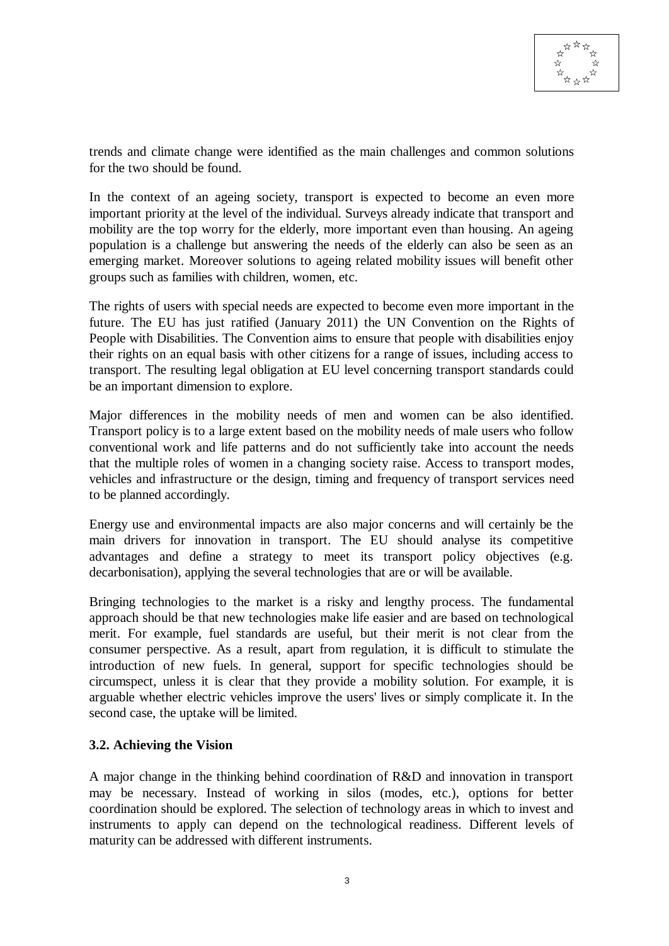trends and climate change were identified as the main challenges and common solutions for the two should be found.

In the context of an ageing society, transport is expected to become an even more important priority at the level of the individual. Surveys already indicate that transport and mobility are the top worry for the elderly, more important even than housing. An ageing population is a challenge but answering the needs of the elderly can also be seen as an emerging market. Moreover solutions to ageing related mobility issues will benefit other groups such as families with children, women, etc.

The rights of users with special needs are expected to become even more important in the future. The EU has just ratified (January 2011) the UN Convention on the Rights of People with Disabilities. The Convention aims to ensure that people with disabilities enjoy their rights on an equal basis with other citizens for a range of issues, including access to transport. The resulting legal obligation at EU level concerning transport standards could be an important dimension to explore.

Major differences in the mobility needs of men and women can be also identified. Transport policy is to a large extent based on the mobility needs of male users who follow conventional work and life patterns and do not sufficiently take into account the needs that the multiple roles of women in a changing society raise. Access to transport modes, vehicles and infrastructure or the design, timing and frequency of transport services need to be planned accordingly.

Energy use and environmental impacts are also major concerns and will certainly be the main drivers for innovation in transport. The EU should analyse its competitive advantages and define a strategy to meet its transport policy objectives (e.g. decarbonisation), applying the several technologies that are or will be available.

Bringing technologies to the market is a risky and lengthy process. The fundamental approach should be that new technologies make life easier and are based on technological merit. For example, fuel standards are useful, but their merit is not clear from the consumer perspective. As a result, apart from regulation, it is difficult to stimulate the introduction of new fuels. In general, support for specific technologies should be circumspect, unless it is clear that they provide a mobility solution. For example, it is arguable whether electric vehicles improve the users' lives or simply complicate it. In the second case, the uptake will be limited.

#### **3.2. Achieving the Vision**

A major change in the thinking behind coordination of R&D and innovation in transport may be necessary. Instead of working in silos (modes, etc.), options for better coordination should be explored. The selection of technology areas in which to invest and instruments to apply can depend on the technological readiness. Different levels of maturity can be addressed with different instruments.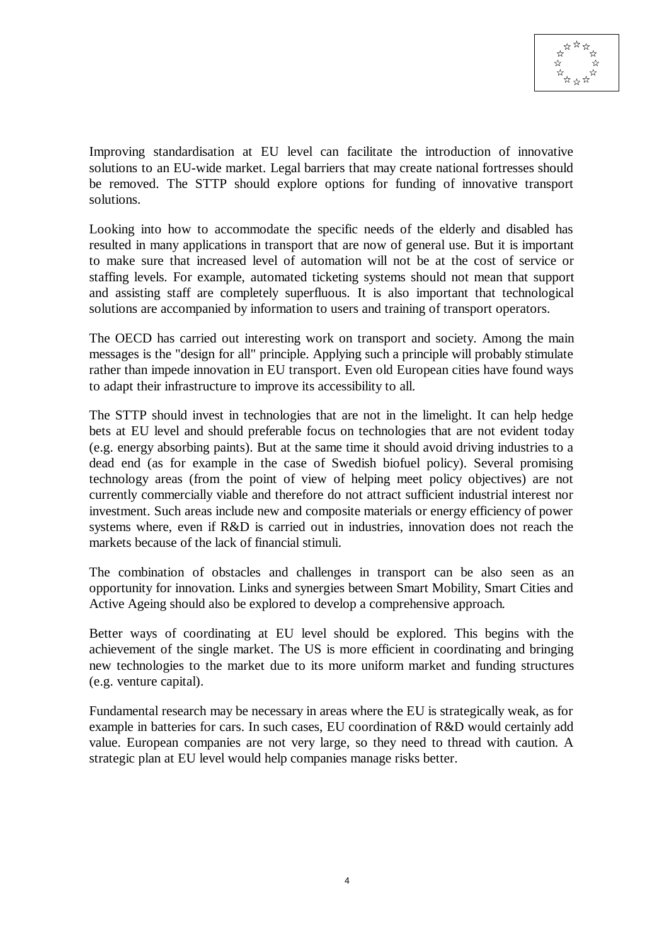Improving standardisation at EU level can facilitate the introduction of innovative solutions to an EU-wide market. Legal barriers that may create national fortresses should be removed. The STTP should explore options for funding of innovative transport solutions.

Looking into how to accommodate the specific needs of the elderly and disabled has resulted in many applications in transport that are now of general use. But it is important to make sure that increased level of automation will not be at the cost of service or staffing levels. For example, automated ticketing systems should not mean that support and assisting staff are completely superfluous. It is also important that technological solutions are accompanied by information to users and training of transport operators.

The OECD has carried out interesting work on transport and society. Among the main messages is the "design for all" principle. Applying such a principle will probably stimulate rather than impede innovation in EU transport. Even old European cities have found ways to adapt their infrastructure to improve its accessibility to all.

The STTP should invest in technologies that are not in the limelight. It can help hedge bets at EU level and should preferable focus on technologies that are not evident today (e.g. energy absorbing paints). But at the same time it should avoid driving industries to a dead end (as for example in the case of Swedish biofuel policy). Several promising technology areas (from the point of view of helping meet policy objectives) are not currently commercially viable and therefore do not attract sufficient industrial interest nor investment. Such areas include new and composite materials or energy efficiency of power systems where, even if R&D is carried out in industries, innovation does not reach the markets because of the lack of financial stimuli.

The combination of obstacles and challenges in transport can be also seen as an opportunity for innovation. Links and synergies between Smart Mobility, Smart Cities and Active Ageing should also be explored to develop a comprehensive approach.

Better ways of coordinating at EU level should be explored. This begins with the achievement of the single market. The US is more efficient in coordinating and bringing new technologies to the market due to its more uniform market and funding structures (e.g. venture capital).

Fundamental research may be necessary in areas where the EU is strategically weak, as for example in batteries for cars. In such cases, EU coordination of R&D would certainly add value. European companies are not very large, so they need to thread with caution. A strategic plan at EU level would help companies manage risks better.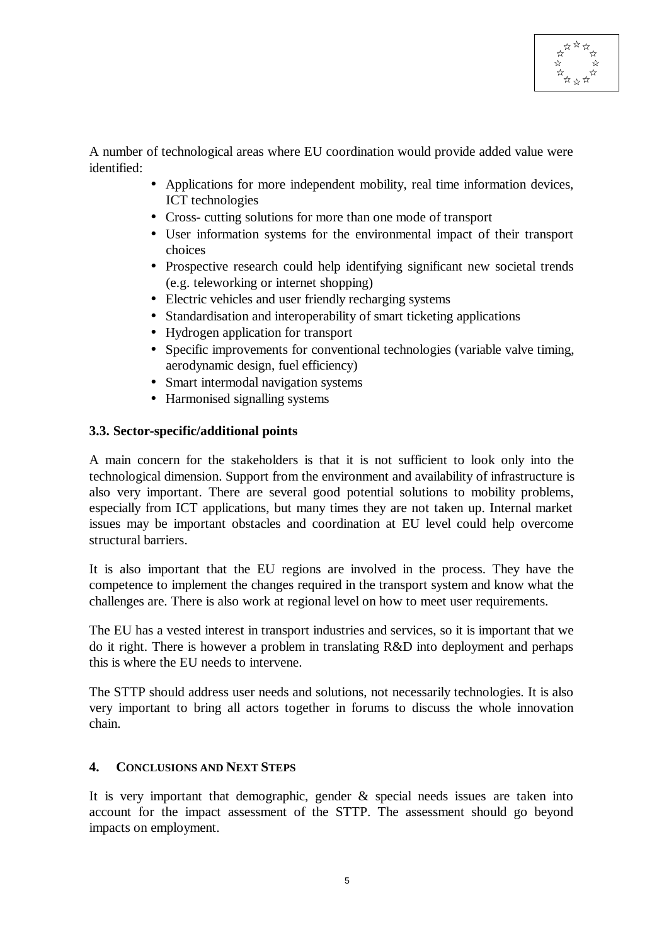A number of technological areas where EU coordination would provide added value were identified:

- Applications for more independent mobility, real time information devices, ICT technologies
- Cross- cutting solutions for more than one mode of transport
- User information systems for the environmental impact of their transport choices
- Prospective research could help identifying significant new societal trends (e.g. teleworking or internet shopping)
- Electric vehicles and user friendly recharging systems
- Standardisation and interoperability of smart ticketing applications
- Hydrogen application for transport
- Specific improvements for conventional technologies (variable valve timing, aerodynamic design, fuel efficiency)
- Smart intermodal navigation systems
- Harmonised signalling systems

#### **3.3. Sector-specific/additional points**

A main concern for the stakeholders is that it is not sufficient to look only into the technological dimension. Support from the environment and availability of infrastructure is also very important. There are several good potential solutions to mobility problems, especially from ICT applications, but many times they are not taken up. Internal market issues may be important obstacles and coordination at EU level could help overcome structural barriers.

It is also important that the EU regions are involved in the process. They have the competence to implement the changes required in the transport system and know what the challenges are. There is also work at regional level on how to meet user requirements.

The EU has a vested interest in transport industries and services, so it is important that we do it right. There is however a problem in translating R&D into deployment and perhaps this is where the EU needs to intervene.

The STTP should address user needs and solutions, not necessarily technologies. It is also very important to bring all actors together in forums to discuss the whole innovation chain.

#### **4. CONCLUSIONS AND NEXT STEPS**

It is very important that demographic, gender  $\&$  special needs issues are taken into account for the impact assessment of the STTP. The assessment should go beyond impacts on employment.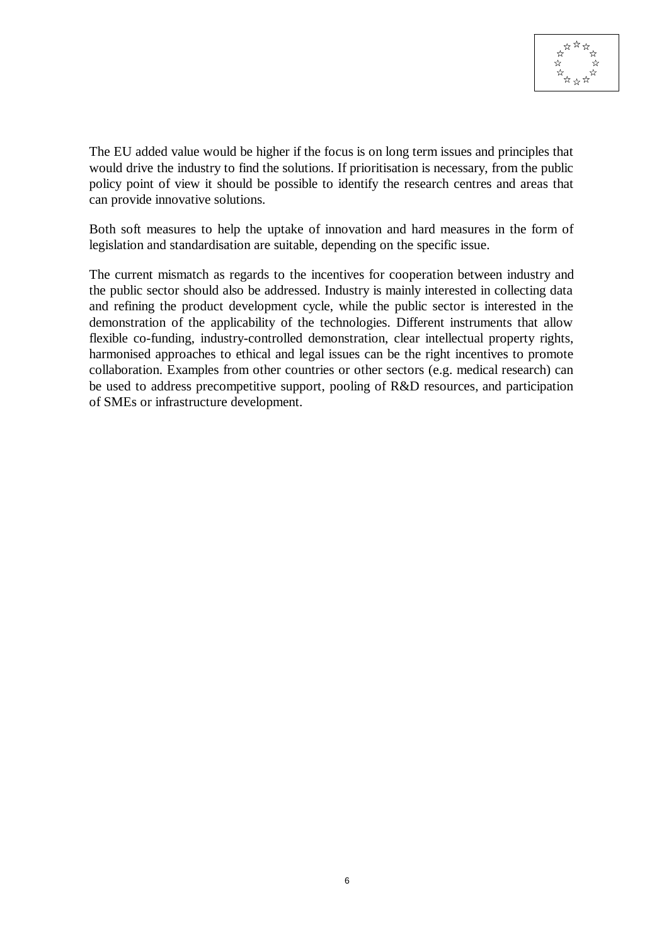

The EU added value would be higher if the focus is on long term issues and principles that would drive the industry to find the solutions. If prioritisation is necessary, from the public policy point of view it should be possible to identify the research centres and areas that can provide innovative solutions.

Both soft measures to help the uptake of innovation and hard measures in the form of legislation and standardisation are suitable, depending on the specific issue.

The current mismatch as regards to the incentives for cooperation between industry and the public sector should also be addressed. Industry is mainly interested in collecting data and refining the product development cycle, while the public sector is interested in the demonstration of the applicability of the technologies. Different instruments that allow flexible co-funding, industry-controlled demonstration, clear intellectual property rights, harmonised approaches to ethical and legal issues can be the right incentives to promote collaboration. Examples from other countries or other sectors (e.g. medical research) can be used to address precompetitive support, pooling of R&D resources, and participation of SMEs or infrastructure development.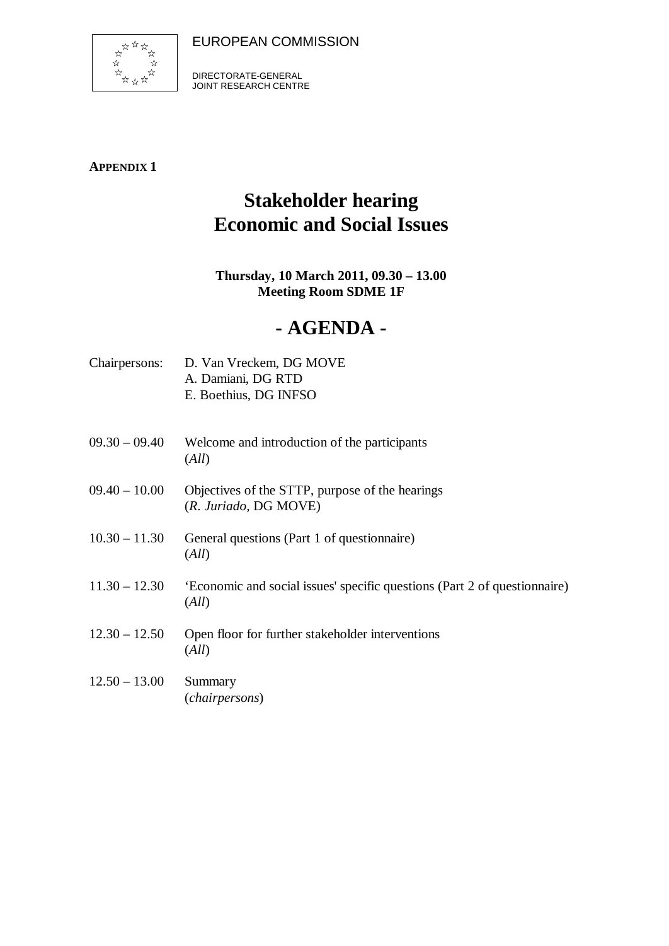EUROPEAN COMMISSION



DIRECTORATE-GENERAL JOINT RESEARCH CENTRE

**APPENDIX 1**

# **Stakeholder hearing Economic and Social Issues**

### **Thursday, 10 March 2011, 09.30 – 13.00 Meeting Room SDME 1F**

## **- AGENDA -**

| D. Van Vreckem, DG MOVE |
|-------------------------|
| A. Damiani, DG RTD      |
| E. Boethius, DG INFSO   |
|                         |

- 09.30 09.40 Welcome and introduction of the participants (*All*)
- 09.40 10.00 Objectives of the STTP, purpose of the hearings (*R. Juriado,* DG MOVE)
- 10.30 11.30 General questions (Part 1 of questionnaire) (*All*)
- 11.30 12.30 'Economic and social issues' specific questions (Part 2 of questionnaire) (*All*)
- 12.30 12.50 Open floor for further stakeholder interventions (*All*)

### 12.50 – 13.00 Summary (*chairpersons*)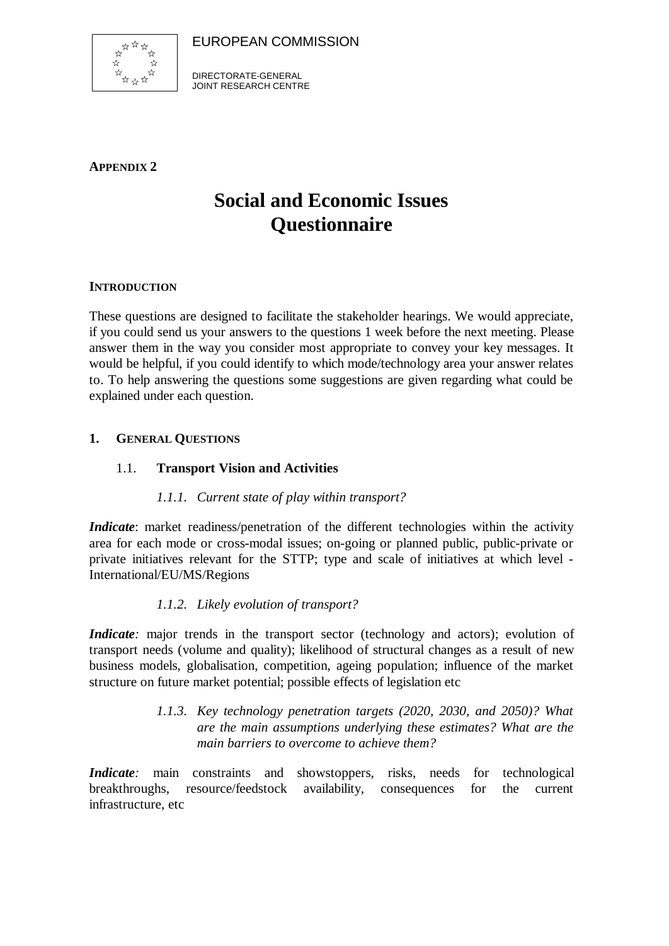EUROPEAN COMMISSION



DIRECTORATE-GENERAL JOINT RESEARCH CENTRE

**APPENDIX 2**

# **Social and Economic Issues Questionnaire**

#### **INTRODUCTION**

These questions are designed to facilitate the stakeholder hearings. We would appreciate, if you could send us your answers to the questions 1 week before the next meeting. Please answer them in the way you consider most appropriate to convey your key messages. It would be helpful, if you could identify to which mode/technology area your answer relates to. To help answering the questions some suggestions are given regarding what could be explained under each question.

#### **1. GENERAL QUESTIONS**

#### 1.1. **Transport Vision and Activities**

#### *1.1.1. Current state of play within transport?*

*Indicate*: market readiness/penetration of the different technologies within the activity area for each mode or cross-modal issues; on-going or planned public, public-private or private initiatives relevant for the STTP; type and scale of initiatives at which level - International/EU/MS/Regions

#### *1.1.2. Likely evolution of transport?*

*Indicate*: major trends in the transport sector (technology and actors); evolution of transport needs (volume and quality); likelihood of structural changes as a result of new business models, globalisation, competition, ageing population; influence of the market structure on future market potential; possible effects of legislation etc

> *1.1.3. Key technology penetration targets (2020, 2030, and 2050)? What are the main assumptions underlying these estimates? What are the main barriers to overcome to achieve them?*

*Indicate*: main constraints and showstoppers, risks, needs for technological breakthroughs, resource/feedstock availability, consequences for the current infrastructure, etc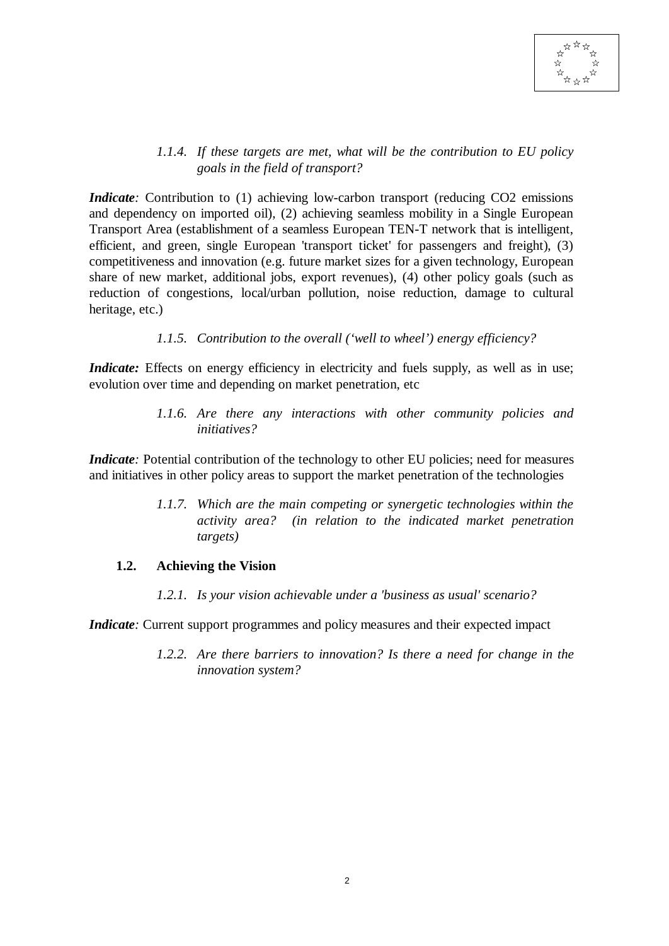

#### *1.1.4. If these targets are met, what will be the contribution to EU policy goals in the field of transport?*

*Indicate*: Contribution to (1) achieving low-carbon transport (reducing CO2 emissions and dependency on imported oil), (2) achieving seamless mobility in a Single European Transport Area (establishment of a seamless European TEN-T network that is intelligent, efficient, and green, single European 'transport ticket' for passengers and freight), (3) competitiveness and innovation (e.g. future market sizes for a given technology, European share of new market, additional jobs, export revenues), (4) other policy goals (such as reduction of congestions, local/urban pollution, noise reduction, damage to cultural heritage, etc.)

#### *1.1.5. Contribution to the overall ('well to wheel') energy efficiency?*

*Indicate:* Effects on energy efficiency in electricity and fuels supply, as well as in use; evolution over time and depending on market penetration, etc

> *1.1.6. Are there any interactions with other community policies and initiatives?*

*Indicate*: Potential contribution of the technology to other EU policies; need for measures and initiatives in other policy areas to support the market penetration of the technologies

> *1.1.7. Which are the main competing or synergetic technologies within the activity area? (in relation to the indicated market penetration targets)*

#### **1.2. Achieving the Vision**

*1.2.1. Is your vision achievable under a 'business as usual' scenario?*

*Indicate*: Current support programmes and policy measures and their expected impact

*1.2.2. Are there barriers to innovation? Is there a need for change in the innovation system?*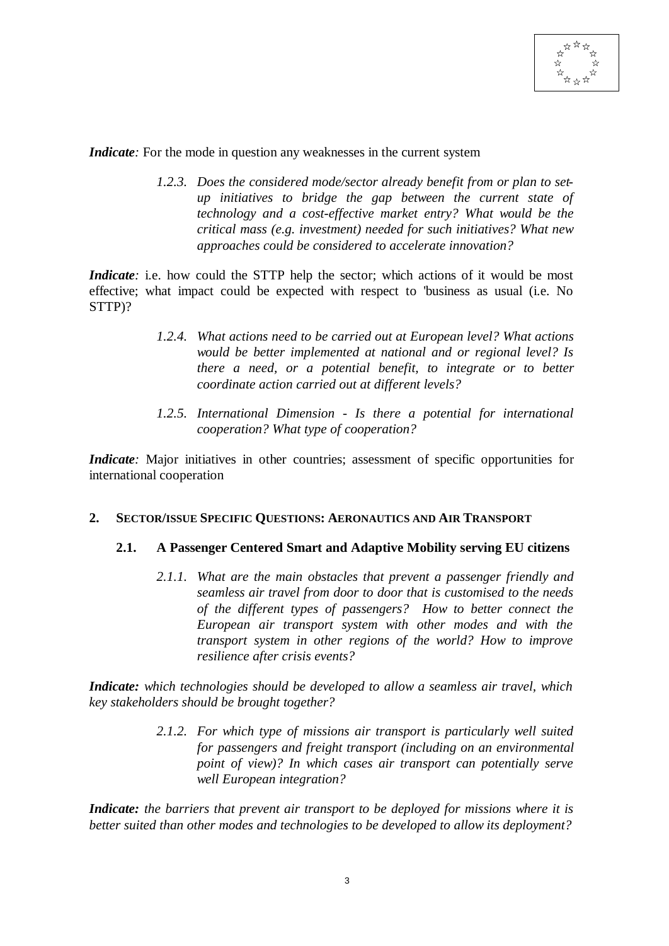

*Indicate*: For the mode in question any weaknesses in the current system

*1.2.3. Does the considered mode/sector already benefit from or plan to setup initiatives to bridge the gap between the current state of technology and a cost-effective market entry? What would be the critical mass (e.g. investment) needed for such initiatives? What new approaches could be considered to accelerate innovation?*

*Indicate*; i.e. how could the STTP help the sector; which actions of it would be most effective; what impact could be expected with respect to 'business as usual (i.e. No STTP)?

- *1.2.4. What actions need to be carried out at European level? What actions would be better implemented at national and or regional level? Is there a need, or a potential benefit, to integrate or to better coordinate action carried out at different levels?*
- *1.2.5. International Dimension Is there a potential for international cooperation? What type of cooperation?*

*Indicate*: Major initiatives in other countries; assessment of specific opportunities for international cooperation

#### **2. SECTOR/ISSUE SPECIFIC QUESTIONS: AERONAUTICS AND AIR TRANSPORT**

#### **2.1. A Passenger Centered Smart and Adaptive Mobility serving EU citizens**

*2.1.1. What are the main obstacles that prevent a passenger friendly and seamless air travel from door to door that is customised to the needs of the different types of passengers? How to better connect the European air transport system with other modes and with the transport system in other regions of the world? How to improve resilience after crisis events?*

*Indicate: which technologies should be developed to allow a seamless air travel, which key stakeholders should be brought together?*

> *2.1.2. For which type of missions air transport is particularly well suited for passengers and freight transport (including on an environmental point of view)? In which cases air transport can potentially serve well European integration?*

*Indicate: the barriers that prevent air transport to be deployed for missions where it is better suited than other modes and technologies to be developed to allow its deployment?*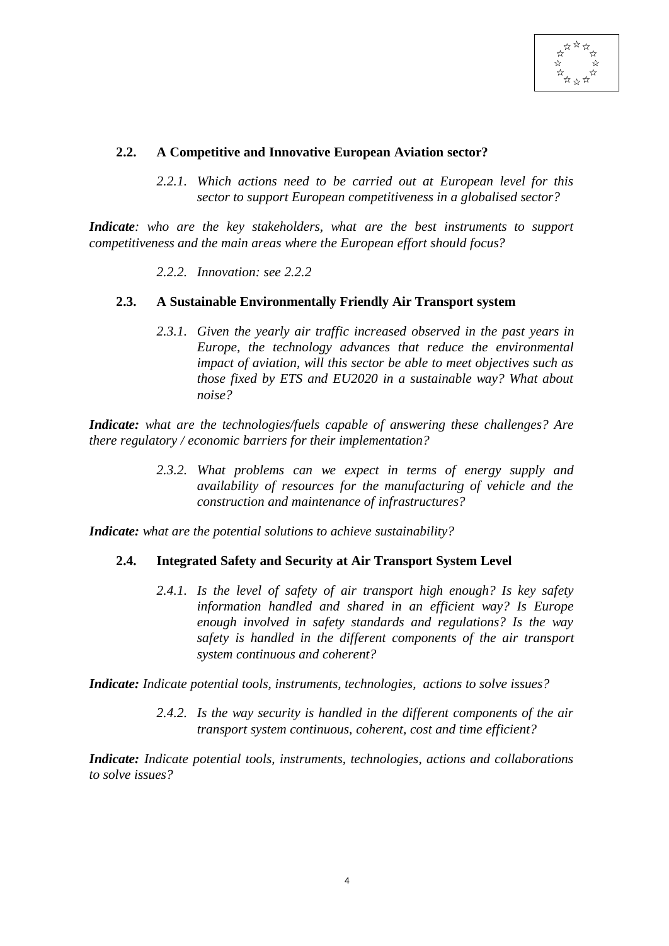#### **2.2. A Competitive and Innovative European Aviation sector?**

*2.2.1. Which actions need to be carried out at European level for this sector to support European competitiveness in a globalised sector?*

*Indicate: who are the key stakeholders, what are the best instruments to support competitiveness and the main areas where the European effort should focus?*

*2.2.2. Innovation: see 2.2.2*

#### **2.3. A Sustainable Environmentally Friendly Air Transport system**

*2.3.1. Given the yearly air traffic increased observed in the past years in Europe, the technology advances that reduce the environmental impact of aviation, will this sector be able to meet objectives such as those fixed by ETS and EU2020 in a sustainable way? What about noise?*

*Indicate: what are the technologies/fuels capable of answering these challenges? Are there regulatory / economic barriers for their implementation?*

> *2.3.2. What problems can we expect in terms of energy supply and availability of resources for the manufacturing of vehicle and the construction and maintenance of infrastructures?*

*Indicate: what are the potential solutions to achieve sustainability?*

#### **2.4. Integrated Safety and Security at Air Transport System Level**

*2.4.1. Is the level of safety of air transport high enough? Is key safety information handled and shared in an efficient way? Is Europe enough involved in safety standards and regulations? Is the way safety is handled in the different components of the air transport system continuous and coherent?*

*Indicate: Indicate potential tools, instruments, technologies, actions to solve issues?*

*2.4.2. Is the way security is handled in the different components of the air transport system continuous, coherent, cost and time efficient?*

*Indicate: Indicate potential tools, instruments, technologies, actions and collaborations to solve issues?*